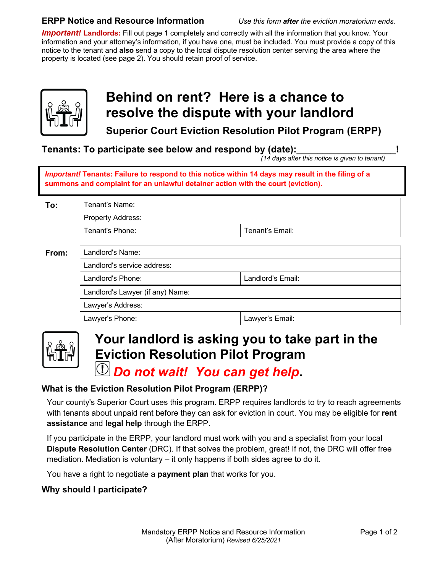#### **ERPP Notice and Resource Information** *Use this form after the eviction moratorium ends.*

*Important!* **Landlords:** Fill out page 1 completely and correctly with all the information that you know. Your information and your attorney's information, if you have one, must be included. You must provide a copy of this notice to the tenant and **also** send a copy to the local dispute resolution center serving the area where the property is located (see page 2). You should retain proof of service.



## **Behind on rent? Here is a chance to resolve the dispute with your landlord**

**Superior Court Eviction Resolution Pilot Program (ERPP)**

**Tenants: To participate see below and respond by (date):** 

 *(14 days after this notice is given to tenant)*

*Important!* **Tenants: Failure to respond to this notice within 14 days may result in the filing of a summons and complaint for an unlawful detainer action with the court (eviction).**

| To:   | Tenant's Name:                   |                   |
|-------|----------------------------------|-------------------|
|       | Property Address:                |                   |
|       | Tenant's Phone:                  | Tenant's Email:   |
|       |                                  |                   |
| From: | Landlord's Name:                 |                   |
|       | Landlord's service address:      |                   |
|       | Landlord's Phone:                | Landlord's Email: |
|       | Landlord's Lawyer (if any) Name: |                   |
|       | Lawyer's Address:                |                   |
|       | Lawyer's Phone:                  | Lawyer's Email:   |



# **Your landlord is asking you to take part in the Eviction Resolution Pilot Program**

### *Do not wait! You can get help***.**

#### **What is the Eviction Resolution Pilot Program (ERPP)?**

Your county's Superior Court uses this program. ERPP requires landlords to try to reach agreements with tenants about unpaid rent before they can ask for eviction in court. You may be eligible for **rent assistance** and **legal help** through the ERPP.

If you participate in the ERPP, your landlord must work with you and a specialist from your local **Dispute Resolution Center** (DRC). If that solves the problem, great! If not, the DRC will offer free mediation. Mediation is voluntary – it only happens if both sides agree to do it.

You have a right to negotiate a **payment plan** that works for you.

#### **Why should I participate?**